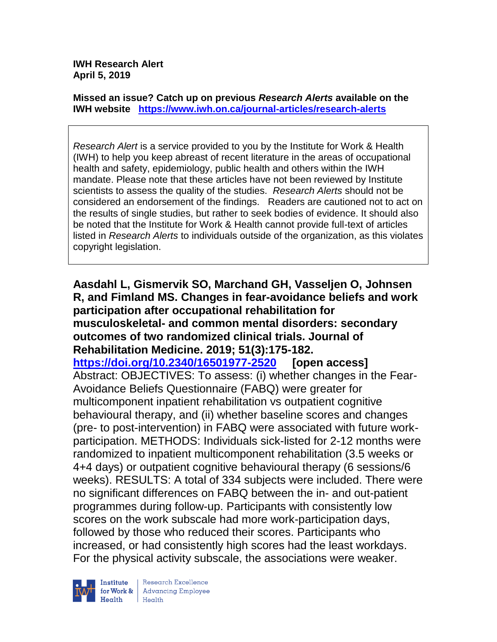**IWH Research Alert April 5, 2019**

**Missed an issue? Catch up on previous** *Research Alerts* **available on the [IWH website](http://www.iwh.on.ca/research-alerts) <https://www.iwh.on.ca/journal-articles/research-alerts>**

*Research Alert* is a service provided to you by the Institute for Work & Health (IWH) to help you keep abreast of recent literature in the areas of occupational health and safety, epidemiology, public health and others within the IWH mandate. Please note that these articles have not been reviewed by Institute scientists to assess the quality of the studies. *Research Alerts* should not be considered an endorsement of the findings. Readers are cautioned not to act on the results of single studies, but rather to seek bodies of evidence. It should also be noted that the Institute for Work & Health cannot provide full-text of articles listed in *Research Alerts* to individuals outside of the organization, as this violates copyright legislation.

**Aasdahl L, Gismervik SO, Marchand GH, Vasseljen O, Johnsen R, and Fimland MS. Changes in fear-avoidance beliefs and work participation after occupational rehabilitation for musculoskeletal- and common mental disorders: secondary outcomes of two randomized clinical trials. Journal of Rehabilitation Medicine. 2019; 51(3):175-182. <https://doi.org/10.2340/16501977-2520> [open access]** Abstract: OBJECTIVES: To assess: (i) whether changes in the Fear-Avoidance Beliefs Questionnaire (FABQ) were greater for multicomponent inpatient rehabilitation vs outpatient cognitive behavioural therapy, and (ii) whether baseline scores and changes (pre- to post-intervention) in FABQ were associated with future workparticipation. METHODS: Individuals sick-listed for 2-12 months were randomized to inpatient multicomponent rehabilitation (3.5 weeks or 4+4 days) or outpatient cognitive behavioural therapy (6 sessions/6 weeks). RESULTS: A total of 334 subjects were included. There were no significant differences on FABQ between the in- and out-patient programmes during follow-up. Participants with consistently low scores on the work subscale had more work-participation days, followed by those who reduced their scores. Participants who increased, or had consistently high scores had the least workdays. For the physical activity subscale, the associations were weaker.



Research Excellence for Work & | Advancing Employee  $H_{\text{each}}$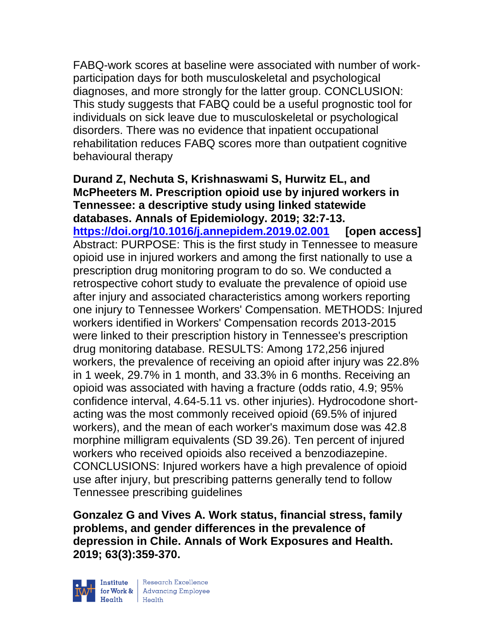FABQ-work scores at baseline were associated with number of workparticipation days for both musculoskeletal and psychological diagnoses, and more strongly for the latter group. CONCLUSION: This study suggests that FABQ could be a useful prognostic tool for individuals on sick leave due to musculoskeletal or psychological disorders. There was no evidence that inpatient occupational rehabilitation reduces FABQ scores more than outpatient cognitive behavioural therapy

**Durand Z, Nechuta S, Krishnaswami S, Hurwitz EL, and McPheeters M. Prescription opioid use by injured workers in Tennessee: a descriptive study using linked statewide databases. Annals of Epidemiology. 2019; 32:7-13. <https://doi.org/10.1016/j.annepidem.2019.02.001> [open access]** Abstract: PURPOSE: This is the first study in Tennessee to measure opioid use in injured workers and among the first nationally to use a prescription drug monitoring program to do so. We conducted a retrospective cohort study to evaluate the prevalence of opioid use after injury and associated characteristics among workers reporting one injury to Tennessee Workers' Compensation. METHODS: Injured workers identified in Workers' Compensation records 2013-2015 were linked to their prescription history in Tennessee's prescription drug monitoring database. RESULTS: Among 172,256 injured workers, the prevalence of receiving an opioid after injury was 22.8% in 1 week, 29.7% in 1 month, and 33.3% in 6 months. Receiving an opioid was associated with having a fracture (odds ratio, 4.9; 95% confidence interval, 4.64-5.11 vs. other injuries). Hydrocodone shortacting was the most commonly received opioid (69.5% of injured workers), and the mean of each worker's maximum dose was 42.8 morphine milligram equivalents (SD 39.26). Ten percent of injured workers who received opioids also received a benzodiazepine. CONCLUSIONS: Injured workers have a high prevalence of opioid use after injury, but prescribing patterns generally tend to follow Tennessee prescribing guidelines

**Gonzalez G and Vives A. Work status, financial stress, family problems, and gender differences in the prevalence of depression in Chile. Annals of Work Exposures and Health. 2019; 63(3):359-370.** 



| Research Excellence for Work & Advancing Employee<br>Health Health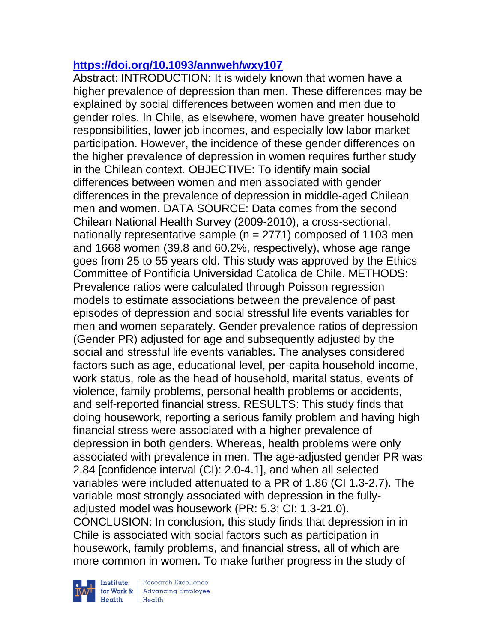### **<https://doi.org/10.1093/annweh/wxy107>**

Abstract: INTRODUCTION: It is widely known that women have a higher prevalence of depression than men. These differences may be explained by social differences between women and men due to gender roles. In Chile, as elsewhere, women have greater household responsibilities, lower job incomes, and especially low labor market participation. However, the incidence of these gender differences on the higher prevalence of depression in women requires further study in the Chilean context. OBJECTIVE: To identify main social differences between women and men associated with gender differences in the prevalence of depression in middle-aged Chilean men and women. DATA SOURCE: Data comes from the second Chilean National Health Survey (2009-2010), a cross-sectional, nationally representative sample (n = 2771) composed of 1103 men and 1668 women (39.8 and 60.2%, respectively), whose age range goes from 25 to 55 years old. This study was approved by the Ethics Committee of Pontificia Universidad Catolica de Chile. METHODS: Prevalence ratios were calculated through Poisson regression models to estimate associations between the prevalence of past episodes of depression and social stressful life events variables for men and women separately. Gender prevalence ratios of depression (Gender PR) adjusted for age and subsequently adjusted by the social and stressful life events variables. The analyses considered factors such as age, educational level, per-capita household income, work status, role as the head of household, marital status, events of violence, family problems, personal health problems or accidents, and self-reported financial stress. RESULTS: This study finds that doing housework, reporting a serious family problem and having high financial stress were associated with a higher prevalence of depression in both genders. Whereas, health problems were only associated with prevalence in men. The age-adjusted gender PR was 2.84 [confidence interval (CI): 2.0-4.1], and when all selected variables were included attenuated to a PR of 1.86 (CI 1.3-2.7). The variable most strongly associated with depression in the fullyadjusted model was housework (PR: 5.3; CI: 1.3-21.0). CONCLUSION: In conclusion, this study finds that depression in in Chile is associated with social factors such as participation in housework, family problems, and financial stress, all of which are more common in women. To make further progress in the study of

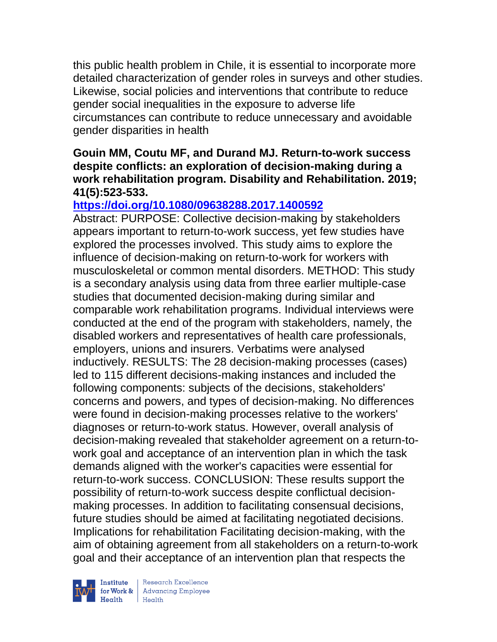this public health problem in Chile, it is essential to incorporate more detailed characterization of gender roles in surveys and other studies. Likewise, social policies and interventions that contribute to reduce gender social inequalities in the exposure to adverse life circumstances can contribute to reduce unnecessary and avoidable gender disparities in health

#### **Gouin MM, Coutu MF, and Durand MJ. Return-to-work success despite conflicts: an exploration of decision-making during a work rehabilitation program. Disability and Rehabilitation. 2019; 41(5):523-533.**

## **<https://doi.org/10.1080/09638288.2017.1400592>**

Abstract: PURPOSE: Collective decision-making by stakeholders appears important to return-to-work success, yet few studies have explored the processes involved. This study aims to explore the influence of decision-making on return-to-work for workers with musculoskeletal or common mental disorders. METHOD: This study is a secondary analysis using data from three earlier multiple-case studies that documented decision-making during similar and comparable work rehabilitation programs. Individual interviews were conducted at the end of the program with stakeholders, namely, the disabled workers and representatives of health care professionals, employers, unions and insurers. Verbatims were analysed inductively. RESULTS: The 28 decision-making processes (cases) led to 115 different decisions-making instances and included the following components: subjects of the decisions, stakeholders' concerns and powers, and types of decision-making. No differences were found in decision-making processes relative to the workers' diagnoses or return-to-work status. However, overall analysis of decision-making revealed that stakeholder agreement on a return-towork goal and acceptance of an intervention plan in which the task demands aligned with the worker's capacities were essential for return-to-work success. CONCLUSION: These results support the possibility of return-to-work success despite conflictual decisionmaking processes. In addition to facilitating consensual decisions, future studies should be aimed at facilitating negotiated decisions. Implications for rehabilitation Facilitating decision-making, with the aim of obtaining agreement from all stakeholders on a return-to-work goal and their acceptance of an intervention plan that respects the



| Research Excellence Financial Research Excellence<br>
Financial Realth<br>
Realth<br>
Realth<br>
Realth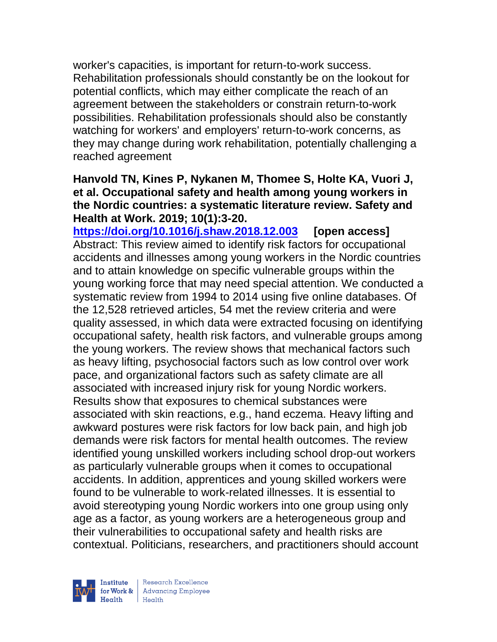worker's capacities, is important for return-to-work success. Rehabilitation professionals should constantly be on the lookout for potential conflicts, which may either complicate the reach of an agreement between the stakeholders or constrain return-to-work possibilities. Rehabilitation professionals should also be constantly watching for workers' and employers' return-to-work concerns, as they may change during work rehabilitation, potentially challenging a reached agreement

#### **Hanvold TN, Kines P, Nykanen M, Thomee S, Holte KA, Vuori J, et al. Occupational safety and health among young workers in the Nordic countries: a systematic literature review. Safety and Health at Work. 2019; 10(1):3-20.**

**<https://doi.org/10.1016/j.shaw.2018.12.003> [open access]** Abstract: This review aimed to identify risk factors for occupational accidents and illnesses among young workers in the Nordic countries and to attain knowledge on specific vulnerable groups within the young working force that may need special attention. We conducted a systematic review from 1994 to 2014 using five online databases. Of the 12,528 retrieved articles, 54 met the review criteria and were quality assessed, in which data were extracted focusing on identifying occupational safety, health risk factors, and vulnerable groups among the young workers. The review shows that mechanical factors such as heavy lifting, psychosocial factors such as low control over work pace, and organizational factors such as safety climate are all associated with increased injury risk for young Nordic workers. Results show that exposures to chemical substances were associated with skin reactions, e.g., hand eczema. Heavy lifting and awkward postures were risk factors for low back pain, and high job demands were risk factors for mental health outcomes. The review identified young unskilled workers including school drop-out workers as particularly vulnerable groups when it comes to occupational accidents. In addition, apprentices and young skilled workers were found to be vulnerable to work-related illnesses. It is essential to avoid stereotyping young Nordic workers into one group using only age as a factor, as young workers are a heterogeneous group and their vulnerabilities to occupational safety and health risks are contextual. Politicians, researchers, and practitioners should account

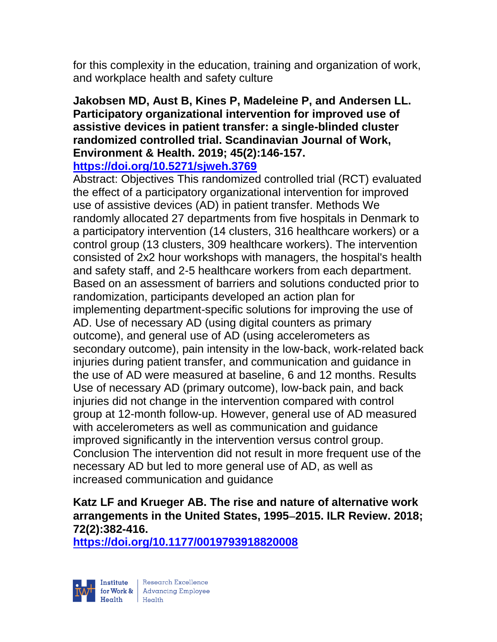for this complexity in the education, training and organization of work, and workplace health and safety culture

## **Jakobsen MD, Aust B, Kines P, Madeleine P, and Andersen LL. Participatory organizational intervention for improved use of assistive devices in patient transfer: a single-blinded cluster randomized controlled trial. Scandinavian Journal of Work, Environment & Health. 2019; 45(2):146-157.**

**<https://doi.org/10.5271/sjweh.3769>** 

Abstract: Objectives This randomized controlled trial (RCT) evaluated the effect of a participatory organizational intervention for improved use of assistive devices (AD) in patient transfer. Methods We randomly allocated 27 departments from five hospitals in Denmark to a participatory intervention (14 clusters, 316 healthcare workers) or a control group (13 clusters, 309 healthcare workers). The intervention consisted of 2x2 hour workshops with managers, the hospital's health and safety staff, and 2-5 healthcare workers from each department. Based on an assessment of barriers and solutions conducted prior to randomization, participants developed an action plan for implementing department-specific solutions for improving the use of AD. Use of necessary AD (using digital counters as primary outcome), and general use of AD (using accelerometers as secondary outcome), pain intensity in the low-back, work-related back injuries during patient transfer, and communication and guidance in the use of AD were measured at baseline, 6 and 12 months. Results Use of necessary AD (primary outcome), low-back pain, and back injuries did not change in the intervention compared with control group at 12-month follow-up. However, general use of AD measured with accelerometers as well as communication and guidance improved significantly in the intervention versus control group. Conclusion The intervention did not result in more frequent use of the necessary AD but led to more general use of AD, as well as increased communication and guidance

# **Katz LF and Krueger AB. The rise and nature of alternative work arrangements in the United States, 1995**−**2015. ILR Review. 2018; 72(2):382-416.**

**<https://doi.org/10.1177/0019793918820008>** 

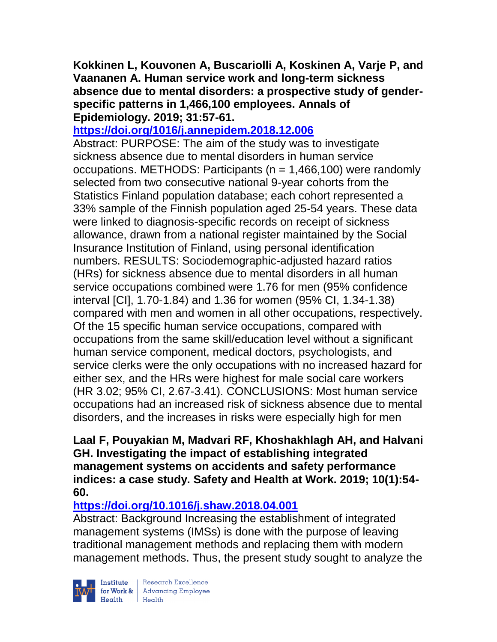**Kokkinen L, Kouvonen A, Buscariolli A, Koskinen A, Varje P, and Vaananen A. Human service work and long-term sickness absence due to mental disorders: a prospective study of genderspecific patterns in 1,466,100 employees. Annals of Epidemiology. 2019; 31:57-61.** 

#### **<https://doi.org/1016/j.annepidem.2018.12.006>**

Abstract: PURPOSE: The aim of the study was to investigate sickness absence due to mental disorders in human service occupations. METHODS: Participants (n = 1,466,100) were randomly selected from two consecutive national 9-year cohorts from the Statistics Finland population database; each cohort represented a 33% sample of the Finnish population aged 25-54 years. These data were linked to diagnosis-specific records on receipt of sickness allowance, drawn from a national register maintained by the Social Insurance Institution of Finland, using personal identification numbers. RESULTS: Sociodemographic-adjusted hazard ratios (HRs) for sickness absence due to mental disorders in all human service occupations combined were 1.76 for men (95% confidence interval [CI], 1.70-1.84) and 1.36 for women (95% CI, 1.34-1.38) compared with men and women in all other occupations, respectively. Of the 15 specific human service occupations, compared with occupations from the same skill/education level without a significant human service component, medical doctors, psychologists, and service clerks were the only occupations with no increased hazard for either sex, and the HRs were highest for male social care workers (HR 3.02; 95% CI, 2.67-3.41). CONCLUSIONS: Most human service occupations had an increased risk of sickness absence due to mental disorders, and the increases in risks were especially high for men

#### **Laal F, Pouyakian M, Madvari RF, Khoshakhlagh AH, and Halvani GH. Investigating the impact of establishing integrated management systems on accidents and safety performance indices: a case study. Safety and Health at Work. 2019; 10(1):54- 60.**

## **<https://doi.org/10.1016/j.shaw.2018.04.001>**

Abstract: Background Increasing the establishment of integrated management systems (IMSs) is done with the purpose of leaving traditional management methods and replacing them with modern management methods. Thus, the present study sought to analyze the

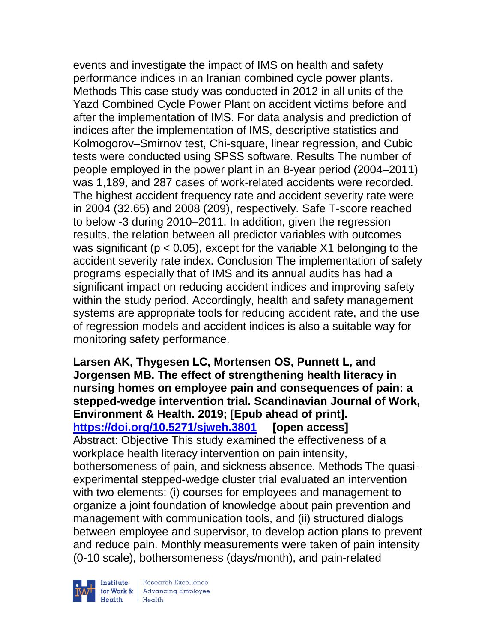events and investigate the impact of IMS on health and safety performance indices in an Iranian combined cycle power plants. Methods This case study was conducted in 2012 in all units of the Yazd Combined Cycle Power Plant on accident victims before and after the implementation of IMS. For data analysis and prediction of indices after the implementation of IMS, descriptive statistics and Kolmogorov–Smirnov test, Chi-square, linear regression, and Cubic tests were conducted using SPSS software. Results The number of people employed in the power plant in an 8-year period (2004–2011) was 1,189, and 287 cases of work-related accidents were recorded. The highest accident frequency rate and accident severity rate were in 2004 (32.65) and 2008 (209), respectively. Safe T-score reached to below -3 during 2010–2011. In addition, given the regression results, the relation between all predictor variables with outcomes was significant ( $p < 0.05$ ), except for the variable X1 belonging to the accident severity rate index. Conclusion The implementation of safety programs especially that of IMS and its annual audits has had a significant impact on reducing accident indices and improving safety within the study period. Accordingly, health and safety management systems are appropriate tools for reducing accident rate, and the use of regression models and accident indices is also a suitable way for monitoring safety performance.

**Larsen AK, Thygesen LC, Mortensen OS, Punnett L, and Jorgensen MB. The effect of strengthening health literacy in nursing homes on employee pain and consequences of pain: a stepped-wedge intervention trial. Scandinavian Journal of Work, Environment & Health. 2019; [Epub ahead of print]. <https://doi.org/10.5271/sjweh.3801> [open access]** Abstract: Objective This study examined the effectiveness of a workplace health literacy intervention on pain intensity, bothersomeness of pain, and sickness absence. Methods The quasiexperimental stepped-wedge cluster trial evaluated an intervention with two elements: (i) courses for employees and management to organize a joint foundation of knowledge about pain prevention and management with communication tools, and (ii) structured dialogs between employee and supervisor, to develop action plans to prevent and reduce pain. Monthly measurements were taken of pain intensity (0-10 scale), bothersomeness (days/month), and pain-related



| Research Excellence for Work & | Advancing Employee Health Health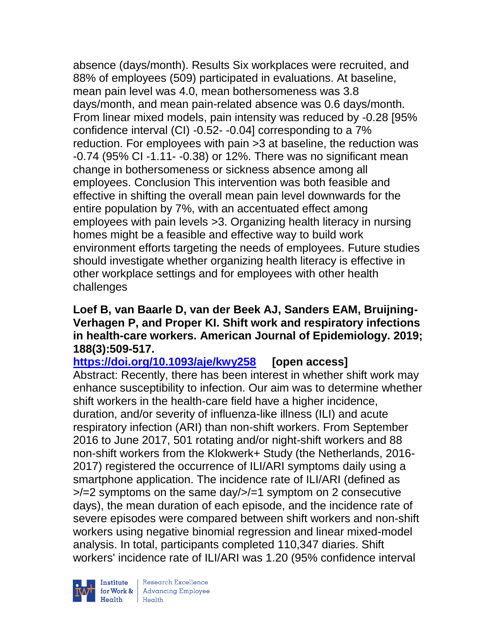absence (days/month). Results Six workplaces were recruited, and 88% of employees (509) participated in evaluations. At baseline, mean pain level was 4.0, mean bothersomeness was 3.8 days/month, and mean pain-related absence was 0.6 days/month. From linear mixed models, pain intensity was reduced by -0.28 [95% confidence interval (CI) -0.52- -0.04] corresponding to a 7% reduction. For employees with pain >3 at baseline, the reduction was -0.74 (95% CI -1.11- -0.38) or 12%. There was no significant mean change in bothersomeness or sickness absence among all employees. Conclusion This intervention was both feasible and effective in shifting the overall mean pain level downwards for the entire population by 7%, with an accentuated effect among employees with pain levels >3. Organizing health literacy in nursing homes might be a feasible and effective way to build work environment efforts targeting the needs of employees. Future studies should investigate whether organizing health literacy is effective in other workplace settings and for employees with other health challenges

#### **Loef B, van Baarle D, van der Beek AJ, Sanders EAM, Bruijning-Verhagen P, and Proper KI. Shift work and respiratory infections in health-care workers. American Journal of Epidemiology. 2019; 188(3):509-517.**

**<https://doi.org/10.1093/aje/kwy258> [open access]** Abstract: Recently, there has been interest in whether shift work may enhance susceptibility to infection. Our aim was to determine whether shift workers in the health-care field have a higher incidence, duration, and/or severity of influenza-like illness (ILI) and acute respiratory infection (ARI) than non-shift workers. From September 2016 to June 2017, 501 rotating and/or night-shift workers and 88 non-shift workers from the Klokwerk+ Study (the Netherlands, 2016- 2017) registered the occurrence of ILI/ARI symptoms daily using a smartphone application. The incidence rate of ILI/ARI (defined as >/=2 symptoms on the same day/>/=1 symptom on 2 consecutive days), the mean duration of each episode, and the incidence rate of severe episodes were compared between shift workers and non-shift workers using negative binomial regression and linear mixed-model analysis. In total, participants completed 110,347 diaries. Shift workers' incidence rate of ILI/ARI was 1.20 (95% confidence interval

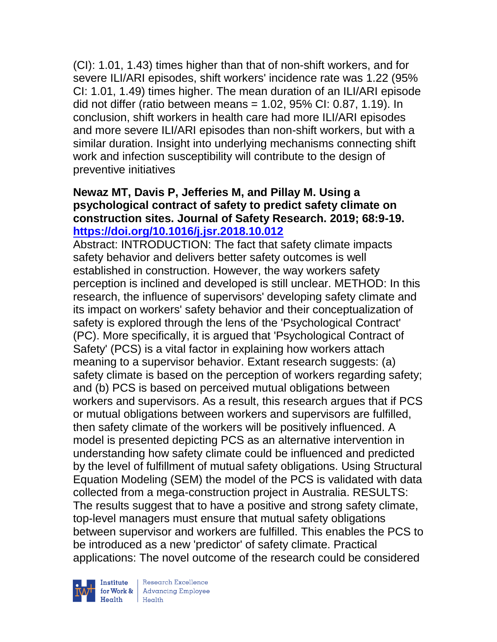(CI): 1.01, 1.43) times higher than that of non-shift workers, and for severe ILI/ARI episodes, shift workers' incidence rate was 1.22 (95% CI: 1.01, 1.49) times higher. The mean duration of an ILI/ARI episode did not differ (ratio between means  $= 1.02$ , 95% CI: 0.87, 1.19). In conclusion, shift workers in health care had more ILI/ARI episodes and more severe ILI/ARI episodes than non-shift workers, but with a similar duration. Insight into underlying mechanisms connecting shift work and infection susceptibility will contribute to the design of preventive initiatives

#### **Newaz MT, Davis P, Jefferies M, and Pillay M. Using a psychological contract of safety to predict safety climate on construction sites. Journal of Safety Research. 2019; 68:9-19. <https://doi.org/10.1016/j.jsr.2018.10.012>**

Abstract: INTRODUCTION: The fact that safety climate impacts safety behavior and delivers better safety outcomes is well established in construction. However, the way workers safety perception is inclined and developed is still unclear. METHOD: In this research, the influence of supervisors' developing safety climate and its impact on workers' safety behavior and their conceptualization of safety is explored through the lens of the 'Psychological Contract' (PC). More specifically, it is argued that 'Psychological Contract of Safety' (PCS) is a vital factor in explaining how workers attach meaning to a supervisor behavior. Extant research suggests: (a) safety climate is based on the perception of workers regarding safety; and (b) PCS is based on perceived mutual obligations between workers and supervisors. As a result, this research argues that if PCS or mutual obligations between workers and supervisors are fulfilled, then safety climate of the workers will be positively influenced. A model is presented depicting PCS as an alternative intervention in understanding how safety climate could be influenced and predicted by the level of fulfillment of mutual safety obligations. Using Structural Equation Modeling (SEM) the model of the PCS is validated with data collected from a mega-construction project in Australia. RESULTS: The results suggest that to have a positive and strong safety climate, top-level managers must ensure that mutual safety obligations between supervisor and workers are fulfilled. This enables the PCS to be introduced as a new 'predictor' of safety climate. Practical applications: The novel outcome of the research could be considered



 $\begin{tabular}{|l|} Institute & Research Excellence \\ \hline for Work & Advancing Employee \\ Health & Health \\ \end{tabular}$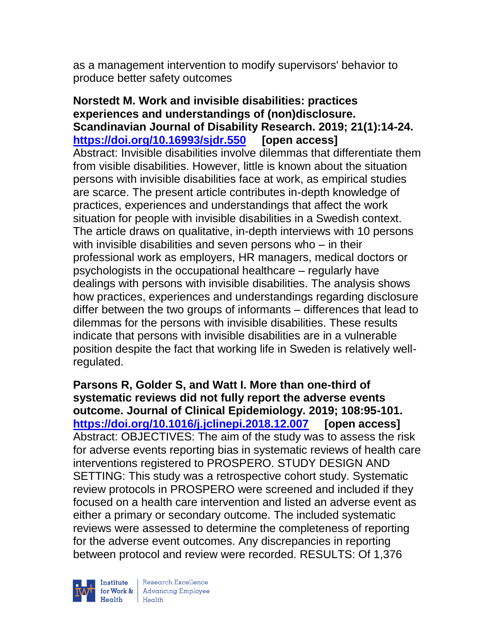as a management intervention to modify supervisors' behavior to produce better safety outcomes

**Norstedt M. Work and invisible disabilities: practices experiences and understandings of (non)disclosure. Scandinavian Journal of Disability Research. 2019; 21(1):14-24. <https://doi.org/10.16993/sjdr.550> [open access]** Abstract: Invisible disabilities involve dilemmas that differentiate them from visible disabilities. However, little is known about the situation persons with invisible disabilities face at work, as empirical studies are scarce. The present article contributes in-depth knowledge of practices, experiences and understandings that affect the work situation for people with invisible disabilities in a Swedish context. The article draws on qualitative, in-depth interviews with 10 persons with invisible disabilities and seven persons who – in their professional work as employers, HR managers, medical doctors or psychologists in the occupational healthcare – regularly have dealings with persons with invisible disabilities. The analysis shows how practices, experiences and understandings regarding disclosure differ between the two groups of informants – differences that lead to dilemmas for the persons with invisible disabilities. These results indicate that persons with invisible disabilities are in a vulnerable position despite the fact that working life in Sweden is relatively wellregulated.

**Parsons R, Golder S, and Watt I. More than one-third of systematic reviews did not fully report the adverse events outcome. Journal of Clinical Epidemiology. 2019; 108:95-101. <https://doi.org/10.1016/j.jclinepi.2018.12.007> [open access]** Abstract: OBJECTIVES: The aim of the study was to assess the risk for adverse events reporting bias in systematic reviews of health care interventions registered to PROSPERO. STUDY DESIGN AND SETTING: This study was a retrospective cohort study. Systematic review protocols in PROSPERO were screened and included if they focused on a health care intervention and listed an adverse event as either a primary or secondary outcome. The included systematic reviews were assessed to determine the completeness of reporting for the adverse event outcomes. Any discrepancies in reporting between protocol and review were recorded. RESULTS: Of 1,376



| Research Excellence for Work & Advancing Employee<br>Health Health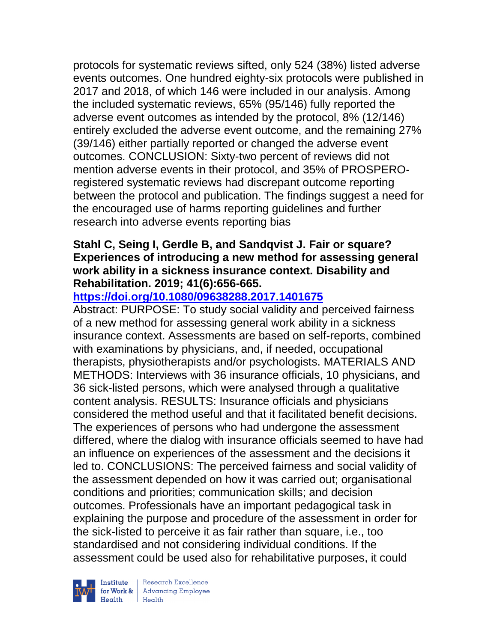protocols for systematic reviews sifted, only 524 (38%) listed adverse events outcomes. One hundred eighty-six protocols were published in 2017 and 2018, of which 146 were included in our analysis. Among the included systematic reviews, 65% (95/146) fully reported the adverse event outcomes as intended by the protocol, 8% (12/146) entirely excluded the adverse event outcome, and the remaining 27% (39/146) either partially reported or changed the adverse event outcomes. CONCLUSION: Sixty-two percent of reviews did not mention adverse events in their protocol, and 35% of PROSPEROregistered systematic reviews had discrepant outcome reporting between the protocol and publication. The findings suggest a need for the encouraged use of harms reporting guidelines and further research into adverse events reporting bias

#### **Stahl C, Seing I, Gerdle B, and Sandqvist J. Fair or square? Experiences of introducing a new method for assessing general work ability in a sickness insurance context. Disability and Rehabilitation. 2019; 41(6):656-665.**

### **<https://doi.org/10.1080/09638288.2017.1401675>**

Abstract: PURPOSE: To study social validity and perceived fairness of a new method for assessing general work ability in a sickness insurance context. Assessments are based on self-reports, combined with examinations by physicians, and, if needed, occupational therapists, physiotherapists and/or psychologists. MATERIALS AND METHODS: Interviews with 36 insurance officials, 10 physicians, and 36 sick-listed persons, which were analysed through a qualitative content analysis. RESULTS: Insurance officials and physicians considered the method useful and that it facilitated benefit decisions. The experiences of persons who had undergone the assessment differed, where the dialog with insurance officials seemed to have had an influence on experiences of the assessment and the decisions it led to. CONCLUSIONS: The perceived fairness and social validity of the assessment depended on how it was carried out; organisational conditions and priorities; communication skills; and decision outcomes. Professionals have an important pedagogical task in explaining the purpose and procedure of the assessment in order for the sick-listed to perceive it as fair rather than square, i.e., too standardised and not considering individual conditions. If the assessment could be used also for rehabilitative purposes, it could



| Research Excellence **Institute** Research Excellence<br> **Fractional Advancing Employee**<br> **Health** Health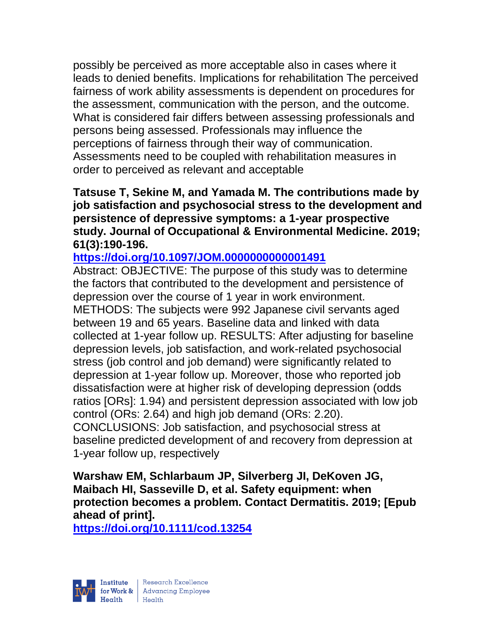possibly be perceived as more acceptable also in cases where it leads to denied benefits. Implications for rehabilitation The perceived fairness of work ability assessments is dependent on procedures for the assessment, communication with the person, and the outcome. What is considered fair differs between assessing professionals and persons being assessed. Professionals may influence the perceptions of fairness through their way of communication. Assessments need to be coupled with rehabilitation measures in order to perceived as relevant and acceptable

#### **Tatsuse T, Sekine M, and Yamada M. The contributions made by job satisfaction and psychosocial stress to the development and persistence of depressive symptoms: a 1-year prospective study. Journal of Occupational & Environmental Medicine. 2019; 61(3):190-196.**

### **<https://doi.org/10.1097/JOM.0000000000001491>**

Abstract: OBJECTIVE: The purpose of this study was to determine the factors that contributed to the development and persistence of depression over the course of 1 year in work environment. METHODS: The subjects were 992 Japanese civil servants aged between 19 and 65 years. Baseline data and linked with data collected at 1-year follow up. RESULTS: After adjusting for baseline depression levels, job satisfaction, and work-related psychosocial stress (job control and job demand) were significantly related to depression at 1-year follow up. Moreover, those who reported job dissatisfaction were at higher risk of developing depression (odds ratios [ORs]: 1.94) and persistent depression associated with low job control (ORs: 2.64) and high job demand (ORs: 2.20).

CONCLUSIONS: Job satisfaction, and psychosocial stress at baseline predicted development of and recovery from depression at 1-year follow up, respectively

**Warshaw EM, Schlarbaum JP, Silverberg JI, DeKoven JG, Maibach HI, Sasseville D, et al. Safety equipment: when protection becomes a problem. Contact Dermatitis. 2019; [Epub ahead of print].**

**<https://doi.org/10.1111/cod.13254>** 

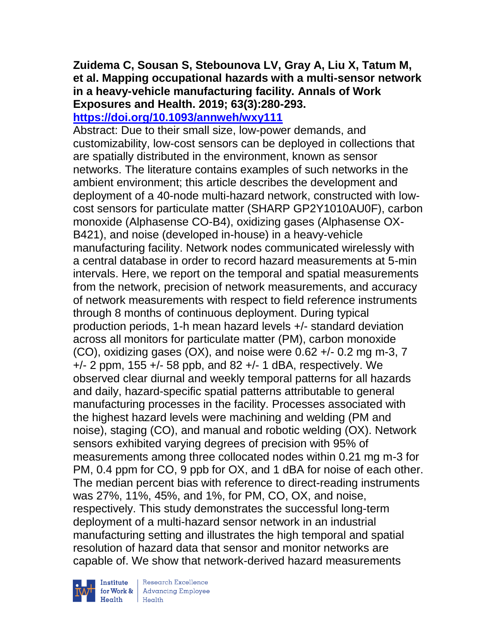## **Zuidema C, Sousan S, Stebounova LV, Gray A, Liu X, Tatum M, et al. Mapping occupational hazards with a multi-sensor network in a heavy-vehicle manufacturing facility. Annals of Work Exposures and Health. 2019; 63(3):280-293.**

### **<https://doi.org/10.1093/annweh/wxy111>**

Abstract: Due to their small size, low-power demands, and customizability, low-cost sensors can be deployed in collections that are spatially distributed in the environment, known as sensor networks. The literature contains examples of such networks in the ambient environment; this article describes the development and deployment of a 40-node multi-hazard network, constructed with lowcost sensors for particulate matter (SHARP GP2Y1010AU0F), carbon monoxide (Alphasense CO-B4), oxidizing gases (Alphasense OX-B421), and noise (developed in-house) in a heavy-vehicle manufacturing facility. Network nodes communicated wirelessly with a central database in order to record hazard measurements at 5-min intervals. Here, we report on the temporal and spatial measurements from the network, precision of network measurements, and accuracy of network measurements with respect to field reference instruments through 8 months of continuous deployment. During typical production periods, 1-h mean hazard levels +/- standard deviation across all monitors for particulate matter (PM), carbon monoxide (CO), oxidizing gases (OX), and noise were 0.62 +/- 0.2 mg m-3, 7 +/- 2 ppm, 155 +/- 58 ppb, and 82 +/- 1 dBA, respectively. We observed clear diurnal and weekly temporal patterns for all hazards and daily, hazard-specific spatial patterns attributable to general manufacturing processes in the facility. Processes associated with the highest hazard levels were machining and welding (PM and noise), staging (CO), and manual and robotic welding (OX). Network sensors exhibited varying degrees of precision with 95% of measurements among three collocated nodes within 0.21 mg m-3 for PM, 0.4 ppm for CO, 9 ppb for OX, and 1 dBA for noise of each other. The median percent bias with reference to direct-reading instruments was 27%, 11%, 45%, and 1%, for PM, CO, OX, and noise, respectively. This study demonstrates the successful long-term deployment of a multi-hazard sensor network in an industrial manufacturing setting and illustrates the high temporal and spatial resolution of hazard data that sensor and monitor networks are capable of. We show that network-derived hazard measurements



Institute Research Excellence<br>
for Work & Advancing Employee<br>
Health Health